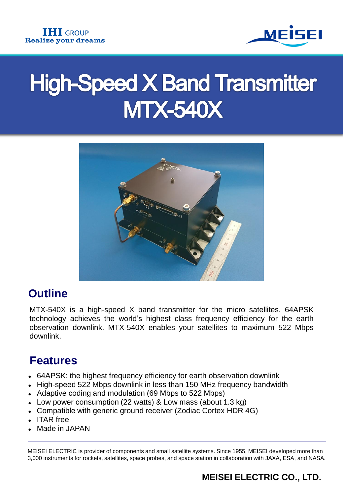

# **High-Speed X Band Transmitter MTX-540X**



## **Outline**

MTX-540X is a high-speed X band transmitter for the micro satellites. 64APSK technology achieves the world's highest class frequency efficiency for the earth observation downlink. MTX-540X enables your satellites to maximum 522 Mbps downlink.

## **Features**

- 64APSK: the highest frequency efficiency for earth observation downlink
- High-speed 522 Mbps downlink in less than 150 MHz frequency bandwidth
- Adaptive coding and modulation (69 Mbps to 522 Mbps)
- Low power consumption (22 watts) & Low mass (about 1.3 kg)
- Compatible with generic ground receiver (Zodiac Cortex HDR 4G)
- ITAR free
- Made in JAPAN

MEISEI ELECTRIC is provider of components and small satellite systems. Since 1955, MEISEI developed more than 3,000 instruments for rockets, satellites, space probes, and space station in collaboration with JAXA, ESA, and NASA.

## **MEISEI ELECTRIC CO., LTD.**